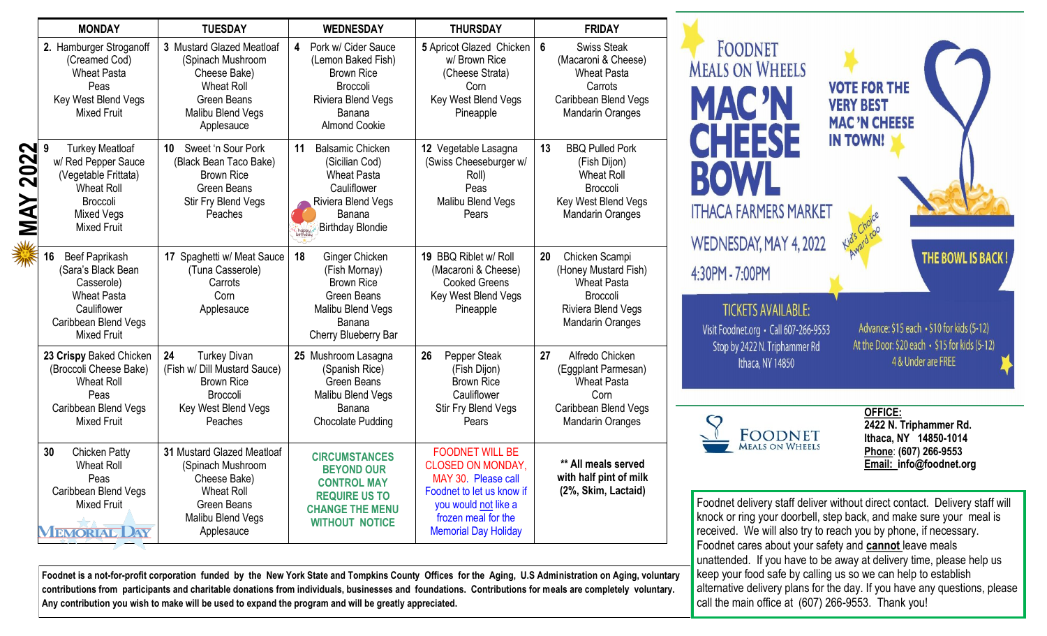| 3 Mustard Glazed Meatloaf<br>(Spinach Mushroom<br>Cheese Bake)<br><b>Wheat Roll</b><br>Green Beans<br>Malibu Blend Vegs<br>Applesauce<br>10 Sweet 'n Sour Pork<br>(Black Bean Taco Bake)<br><b>Brown Rice</b><br><b>Green Beans</b><br>Stir Fry Blend Vegs | Pork w/ Cider Sauce<br>(Lemon Baked Fish)<br><b>Brown Rice</b><br><b>Broccoli</b><br>Riviera Blend Vegs<br>Banana<br><b>Almond Cookie</b><br><b>Balsamic Chicken</b><br>11<br>(Sicilian Cod) | 5 Apricot Glazed Chicken<br>w/ Brown Rice<br>(Cheese Strata)<br>Corn<br>Key West Blend Vegs<br>Pineapple<br>12 Vegetable Lasagna                                                     | <b>Swiss Steak</b><br>6<br>(Macaroni & Cheese)<br><b>Wheat Pasta</b><br>Carrots<br>Caribbean Blend Vegs<br><b>Mandarin Oranges</b><br><b>BBQ Pulled Pork</b><br>13 | <b>FOODNET</b><br><b>MEALS ON WHEELS</b><br><b>MAC'N</b>                                                                                                                              | <b>VOTE FOR THE</b><br><b>VERY BEST</b><br><b>MAC 'N CHEESE</b>                                                                                                                                                                      |
|------------------------------------------------------------------------------------------------------------------------------------------------------------------------------------------------------------------------------------------------------------|----------------------------------------------------------------------------------------------------------------------------------------------------------------------------------------------|--------------------------------------------------------------------------------------------------------------------------------------------------------------------------------------|--------------------------------------------------------------------------------------------------------------------------------------------------------------------|---------------------------------------------------------------------------------------------------------------------------------------------------------------------------------------|--------------------------------------------------------------------------------------------------------------------------------------------------------------------------------------------------------------------------------------|
|                                                                                                                                                                                                                                                            |                                                                                                                                                                                              |                                                                                                                                                                                      |                                                                                                                                                                    |                                                                                                                                                                                       |                                                                                                                                                                                                                                      |
| Peaches                                                                                                                                                                                                                                                    | <b>Wheat Pasta</b><br>Cauliflower<br>Riviera Blend Vegs<br>Banana<br><b>Birthday Blondie</b>                                                                                                 | (Swiss Cheeseburger w/<br>Roll)<br>Peas<br>Malibu Blend Vegs<br>Pears                                                                                                                | (Fish Dijon)<br><b>Wheat Roll</b><br>Broccoli<br>Key West Blend Vegs<br><b>Mandarin Oranges</b>                                                                    | <b>CHEESE</b><br><b>IN TOWN!</b><br><b>BOWL</b><br><b>ITHACA FARMERS MARKET</b>                                                                                                       |                                                                                                                                                                                                                                      |
| 17 Spaghetti w/ Meat Sauce<br>(Tuna Casserole)<br>Carrots<br>Corn<br>Applesauce                                                                                                                                                                            | <b>Ginger Chicken</b><br>(Fish Mornay)<br><b>Brown Rice</b><br>Green Beans<br>Malibu Blend Vegs<br>Banana<br>Cherry Blueberry Bar                                                            | 19 BBQ Riblet w/ Roll<br>(Macaroni & Cheese)<br><b>Cooked Greens</b><br>Key West Blend Vegs<br>Pineapple                                                                             | 20 <sub>2</sub><br>Chicken Scampi<br>(Honey Mustard Fish)<br><b>Wheat Pasta</b><br>Broccoli<br>Riviera Blend Vegs<br><b>Mandarin Oranges</b>                       | 4:30PM - 7:00PM<br><b>TICKETS AVAILABLE:</b><br>Visit Foodnet.org · Call 607-266-9553                                                                                                 | Advance: \$15 eac                                                                                                                                                                                                                    |
| <b>Turkey Divan</b><br>(Fish w/ Dill Mustard Sauce)<br><b>Brown Rice</b><br><b>Broccoli</b><br>Key West Blend Vegs<br>Peaches                                                                                                                              | (Spanish Rice)<br>Green Beans<br>Malibu Blend Vegs<br>Banana<br><b>Chocolate Pudding</b>                                                                                                     | 26<br>Pepper Steak<br>(Fish Dijon)<br><b>Brown Rice</b><br>Cauliflower<br>Stir Fry Blend Vegs<br>Pears                                                                               | 27<br>Alfredo Chicken<br>(Eggplant Parmesan)<br><b>Wheat Pasta</b><br>Corn<br>Caribbean Blend Vegs<br><b>Mandarin Oranges</b>                                      | Ithaca, NY 14850                                                                                                                                                                      | At the Door: \$20 ea<br>4 & Uno<br><b>OFFICE:</b><br>2422 N. Trip                                                                                                                                                                    |
| 31 Mustard Glazed Meatloaf<br>(Spinach Mushroom<br>Cheese Bake)<br><b>Wheat Roll</b><br><b>Green Beans</b><br>Malibu Blend Vegs<br>Applesauce                                                                                                              | <b>CIRCUMSTANCES</b><br><b>BEYOND OUR</b><br><b>CONTROL MAY</b><br><b>REQUIRE US TO</b><br><b>CHANGE THE MENU</b><br><b>WITHOUT NOTICE</b>                                                   | <b>FOODNET WILL BE</b><br><b>CLOSED ON MONDAY,</b><br>MAY 30. Please call<br>Foodnet to let us know if<br>you would not like a<br>frozen meal for the<br><b>Memorial Day Holiday</b> | ** All meals served<br>with half pint of milk<br>(2%, Skim, Lactaid)                                                                                               | <b>MEALS ON WHEELS</b><br>Foodnet delivery staff deliver without direct conta<br>knock or ring your doorbell, step back, and make<br>received. We will also try to reach you by phone | Ithaca, NY<br>Phone: (607<br>Email: infor                                                                                                                                                                                            |
| contributions from participants and charitable donations from individuals, businesses and foundations. Contributions for meals are completely voluntary.                                                                                                   |                                                                                                                                                                                              | 18<br>25 Mushroom Lasagna<br>Foodnet is a not-for-profit corporation funded by the New York State and Tompkins County Offices for the Aging, U.S Administration on Aging, voluntary  |                                                                                                                                                                    |                                                                                                                                                                                       | WEDNESDAY, MAY 4, 2022<br>Stop by 2422 N. Triphammer Rd<br>Foodnet<br>Foodnet cares about your safety and <b>cannot</b> lea<br>unattended. If you have to be away at delivery ti<br>keep your food safe by calling us so we can help |

THE BOWL IS BACK Advance: \$15 each • \$10 for kids (5-12)

At the Door:  $$20$  each  $\cdot$   $$15$  for kids (5-12) 4 & Under are FREE

**OFFICE: 2422 N. Triphammer Rd. Ithaca, NY 14850-1014 Phone**: **(607) 266-9553 Email: info@foodnet.org**

out direct contact. Delivery staff will back, and make sure your meal is h you by phone, if necessary. Foodnet cares about your safety and **cannot** leave meals unattended. If you have to be away at delivery time, please help us keep your food safe by calling us so we can help to establish alternative delivery plans for the day. If you have any questions, please call the main office at (607) 266-9553. Thank you!